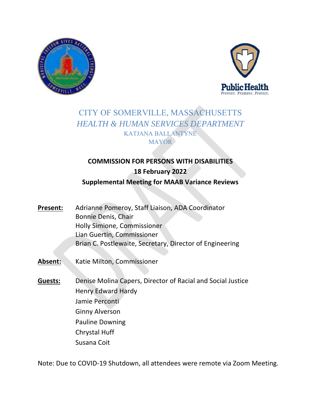



# CITY OF SOMERVILLE, MASSACHUSETTS *HEALTH & HUMAN SERVICES DEPARTMENT*  KATJANA BALLANTYNE **MAYOR**

# **COMMISSION FOR PERSONS WITH DISABILITIES 18 February 2022 Supplemental Meeting for MAAB Variance Reviews**

- Present: Adrianne Pomeroy, Staff Liaison, ADA Coordinator Bonnie Denis, Chair Holly Simione, Commissioner Lian Guertin, Commissioner Brian C. Postlewaite, Secretary, Director of Engineering
- Absent: Katie Milton, Commissioner
- **Guests:** Denise Molina Capers, Director of Racial and Social Justice Henry Edward Hardy Jamie Perconti Ginny Alverson Pauline Downing Chrystal Huff Susana Coit

Note: Due to COVID‐19 Shutdown, all attendees were remote via Zoom Meeting.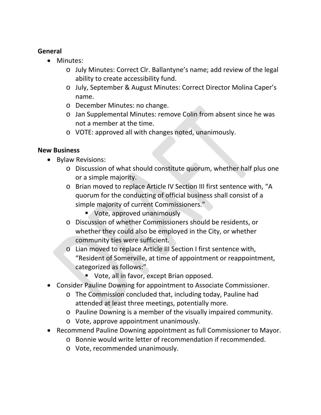### **General**

- Minutes:
	- o July Minutes: Correct Clr. Ballantyne's name; add review of the legal ability to create accessibility fund.
	- o July, September & August Minutes: Correct Director Molina Caper's name.
	- o December Minutes: no change.
	- o Jan Supplemental Minutes: remove Colin from absent since he was not a member at the time.
	- o VOTE: approved all with changes noted, unanimously.

### **New Business**

- Bylaw Revisions:
	- o Discussion of what should constitute quorum, whether half plus one or a simple majority.
	- o Brian moved to replace Article IV Section III first sentence with, "A quorum for the conducting of official business shall consist of a simple majority of current Commissioners."
		- **Vote, approved unanimously**
	- o Discussion of whether Commissioners should be residents, or whether they could also be employed in the City, or whether community ties were sufficient.
	- o Lian moved to replace Article III Section I first sentence with, "Resident of Somerville, at time of appointment or reappointment, categorized as follows:"
		- **Vote, all in favor, except Brian opposed.**
- Consider Pauline Downing for appointment to Associate Commissioner.
	- o The Commission concluded that, including today, Pauline had attended at least three meetings, potentially more.
	- o Pauline Downing is a member of the visually impaired community.
	- o Vote, approve appointment unanimously.
- Recommend Pauline Downing appointment as full Commissioner to Mayor.
	- o Bonnie would write letter of recommendation if recommended.
	- o Vote, recommended unanimously.